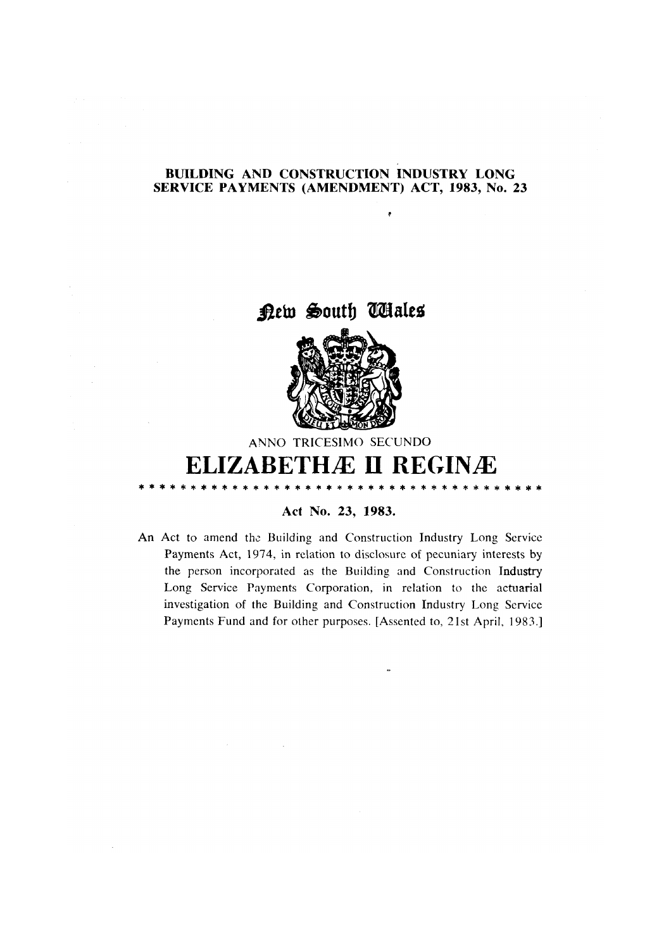## **BUILDING AND CONSTRUCTION INDUSTRY LONG** SERVICE PAYMENTS (AMENDMENT) ACT, 1983, No. 23

×





ANNO TRICESIMO SECUNDO

# **ELIZABETHÆ II REGINÆ**

## Act No. 23, 1983.

An Act to amend the Building and Construction Industry Long Service Payments Act, 1974, in relation to disclosure of pecuniary interests by the person incorporated as the Building and Construction Industry Long Service Payments Corporation, in relation to the actuarial investigation of the Building and Construction Industry Long Service Payments Fund and for other purposes. [Assented to, 21st April, 1983.]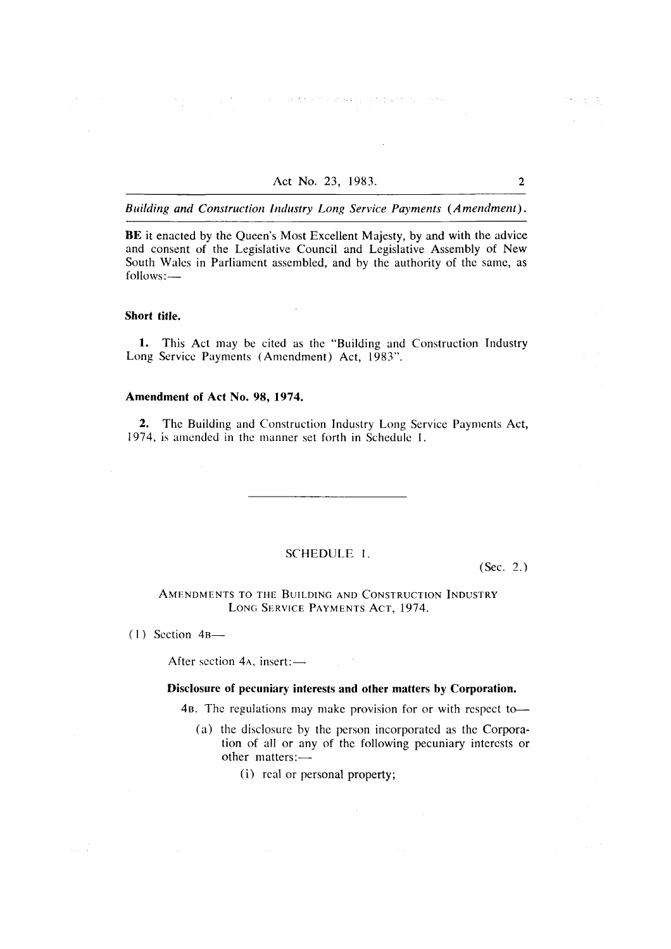the second complete process of the process of

Building and Construction Industry Long Service Payments (Amendment).

BE it enacted by the Queen's Most Excellent Majesty, by and with the advice and consent of the Legislative Council and Legislative Assembly of New South Wales in Parliament assembled, and by the authority of the same, as follows:-

#### Short title.

1. This Act may be cited as the "Building and Construction Industry Long Service Payments (Amendment) Act, 1983".

#### Amendment of Act No. 98, 1974.

 $\mathcal{L}_{\mathrm{eff}}$ 

2. The Building and Construction Industry Long Service Payments Act, 1974, is amended in the manner set forth in Schedule 1.

#### SCHEDULE 1.

 $(Sec. 2.)$ 

AMENDMENTS TO THE BUILDING AND CONSTRUCTION INDUSTRY LONG SERVICE PAYMENTS ACT, 1974.

 $(1)$  Section 4B-

 $\frac{1}{2\pi\epsilon_0} \frac{1}{\sqrt{2\pi\epsilon_0}}$ 

After section  $4A$ , insert: $\_\_$ 

#### Disclosure of pecuniary interests and other matters by Corporation.

4B. The regulations may make provision for or with respect to-

- (a) the disclosure by the person incorporated as the Corporation of all or any of the following pecuniary interests or other matters:-
	- (i) real or personal property;

 $\overline{2}$ 

计广场字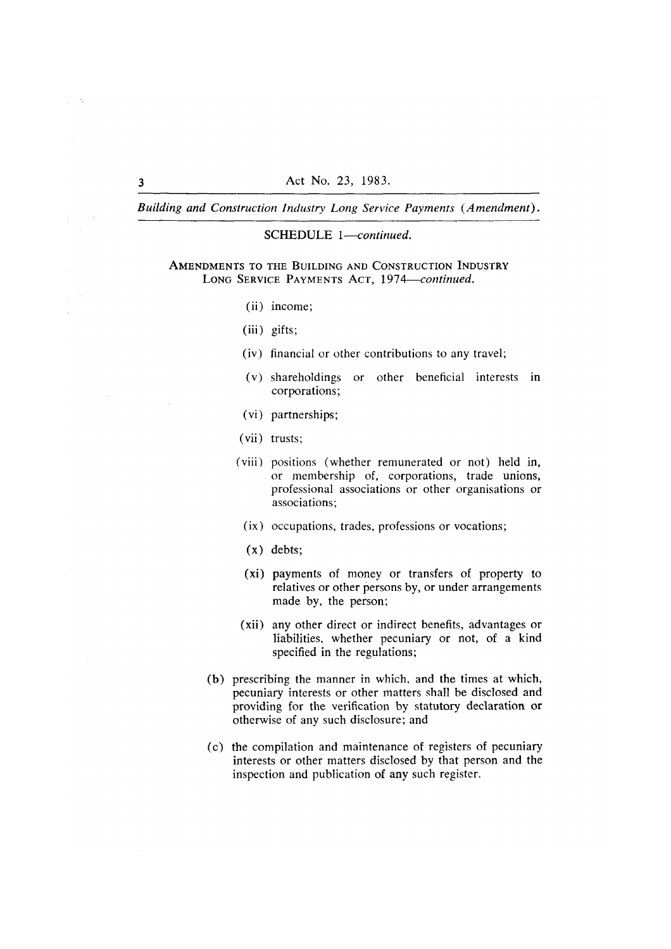Building and Construction Industry Long Service Payments (Amendment).

#### SCHEDULE 1-continued.

AMENDMENTS TO THE BUILDING AND CONSTRUCTION INDUSTRY LONG SERVICE PAYMENTS ACT, 1974-continued.

- (ii) income:
- $(iii)$  gifts;
- (iv) financial or other contributions to any travel;
- (v) shareholdings or other beneficial interests in corporations;
- (vi) partnerships:
- (vii) trusts;
- (viii) positions (whether remunerated or not) held in, or membership of, corporations, trade unions, professional associations or other organisations or associations:
	- (ix) occupations, trades, professions or vocations;
	- $(x)$  debts:
	- (xi) payments of money or transfers of property to relatives or other persons by, or under arrangements made by, the person;
- (xii) any other direct or indirect benefits, advantages or liabilities, whether pecuniary or not, of a kind specified in the regulations;
- (b) prescribing the manner in which, and the times at which, pecuniary interests or other matters shall be disclosed and providing for the verification by statutory declaration or otherwise of any such disclosure; and
- (c) the compilation and maintenance of registers of pecuniary interests or other matters disclosed by that person and the inspection and publication of any such register.

 $\overline{\mathbf{3}}$